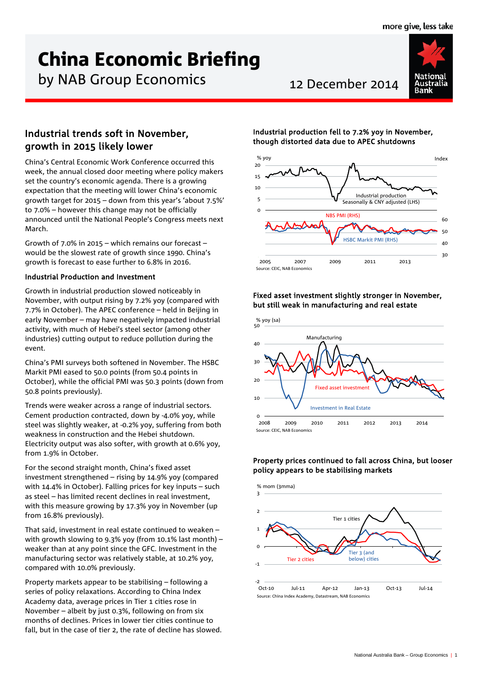# China Economic Briefing

by NAB Group Economics 12 December 2014



# Industrial trends soft in November, growth in 2015 likely lower

China's Central Economic Work Conference occurred this week, the annual closed door meeting where policy makers set the country's economic agenda. There is a growing expectation that the meeting will lower China's economic growth target for 2015 – down from this year's 'about 7.5%' to 7.0% – however this change may not be officially announced until the National People's Congress meets next March.

Growth of 7.0% in 2015 – which remains our forecast – would be the slowest rate of growth since 1990. China's growth is forecast to ease further to 6.8% in 2016.

# Industrial Production and Investment

Growth in industrial production slowed noticeably in November, with output rising by 7.2% yoy (compared with 7.7% in October). The APEC conference – held in Beijing in early November – may have negatively impacted industrial activity, with much of Hebei's steel sector (among other industries) cutting output to reduce pollution during the event.

China's PMI surveys both softened in November. The HSBC Markit PMI eased to 50.0 points (from 50.4 points in October), while the official PMI was 50.3 points (down from 50.8 points previously).

Trends were weaker across a range of industrial sectors. Cement production contracted, down by -4.0% yoy, while steel was slightly weaker, at -0.2% yoy, suffering from both weakness in construction and the Hebei shutdown. Electricity output was also softer, with growth at 0.6% yoy, from 1.9% in October.

For the second straight month, China's fixed asset investment strengthened – rising by 14.9% yoy (compared with 14.4% in October). Falling prices for key inputs – such as steel – has limited recent declines in real investment, with this measure growing by 17.3% yoy in November (up from 16.8% previously).

That said, investment in real estate continued to weaken – with growth slowing to 9.3% yoy (from 10.1% last month) – weaker than at any point since the GFC. Investment in the manufacturing sector was relatively stable, at 10.2% yoy, compared with 10.0% previously.

Property markets appear to be stabilising – following a series of policy relaxations. According to China Index Academy data, average prices in Tier 1 cities rose in November – albeit by just 0.3%, following on from six months of declines. Prices in lower tier cities continue to fall, but in the case of tier 2, the rate of decline has slowed.

# Industrial production fell to 7.2% yoy in November, though distorted data due to APEC shutdowns



# Fixed asset investment slightly stronger in November, but still weak in manufacturing and real estate



# Property prices continued to fall across China, but looser policy appears to be stabilising markets

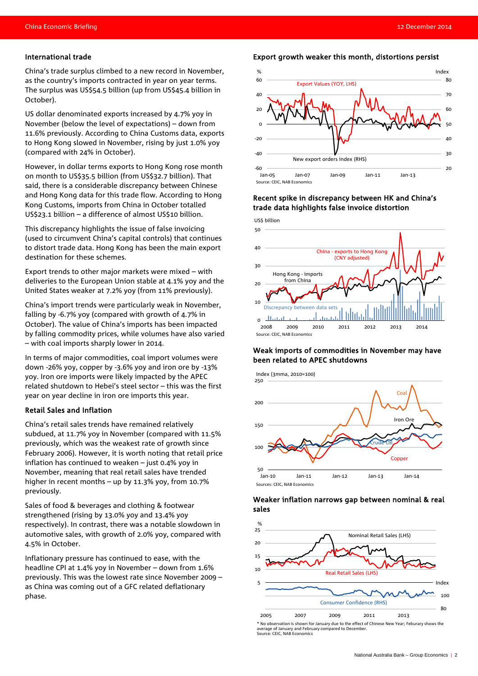### International trade

China's trade surplus climbed to a new record in November, as the country's imports contracted in year on year terms. The surplus was US\$54.5 billion (up from US\$45.4 billion in October).

US dollar denominated exports increased by 4.7% yoy in November (below the level of expectations) – down from 11.6% previously. According to China Customs data, exports to Hong Kong slowed in November, rising by just 1.0% yoy (compared with 24% in October).

However, in dollar terms exports to Hong Kong rose month on month to US\$35.5 billion (from US\$32.7 billion). That said, there is a considerable discrepancy between Chinese and Hong Kong data for this trade flow. According to Hong Kong Customs, imports from China in October totalled US\$23.1 billion – a difference of almost US\$10 billion.

This discrepancy highlights the issue of false invoicing (used to circumvent China's capital controls) that continues to distort trade data. Hong Kong has been the main export destination for these schemes.

Export trends to other major markets were mixed – with deliveries to the European Union stable at 4.1% yoy and the United States weaker at 7.2% yoy (from 11% previously).

China's import trends were particularly weak in November, falling by -6.7% yoy (compared with growth of 4.7% in October). The value of China's imports has been impacted by falling commodity prices, while volumes have also varied – with coal imports sharply lower in 2014.

In terms of major commodities, coal import volumes were down -26% yoy, copper by -3.6% yoy and iron ore by -13% yoy. Iron ore imports were likely impacted by the APEC related shutdown to Hebei's steel sector – this was the first year on year decline in iron ore imports this year.

### Retail Sales and Inflation

China's retail sales trends have remained relatively subdued, at 11.7% yoy in November (compared with 11.5% previously, which was the weakest rate of growth since February 2006). However, it is worth noting that retail price inflation has continued to weaken – just 0.4% yoy in November, meaning that real retail sales have trended higher in recent months – up by 11.3% yoy, from 10.7% previously.

Sales of food & beverages and clothing & footwear strengthened (rising by 13.0% yoy and 13.4% yoy respectively). In contrast, there was a notable slowdown in automotive sales, with growth of 2.0% yoy, compared with 4.5% in October.

Inflationary pressure has continued to ease, with the headline CPI at 1.4% yoy in November – down from 1.6% previously. This was the lowest rate since November 2009 – as China was coming out of a GFC related deflationary phase.

# Export growth weaker this month, distortions persist



# Recent spike in discrepancy between HK and China's trade data highlights false invoice distortion



# Weak imports of commodities in November may have been related to APEC shutdowns



### Weaker inflation narrows gap between nominal & real sales



\* No observation is shown for January due to the effect of Chinese New Year; Feburary shows the average of January and February compared to December. Source: CEIC, NAB Economics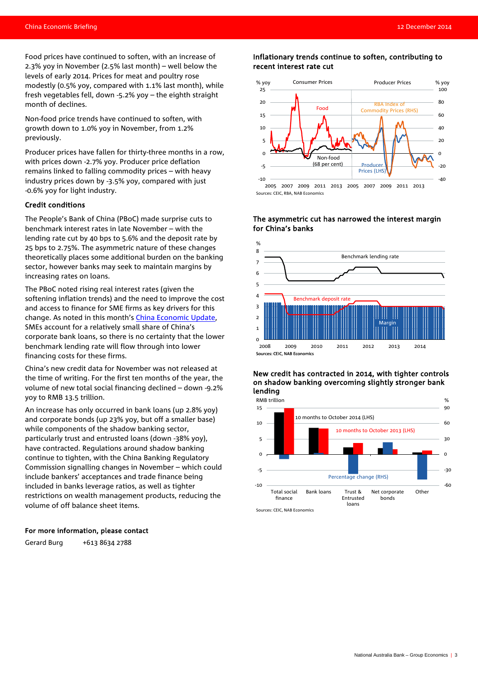Food prices have continued to soften, with an increase of 2.3% yoy in November (2.5% last month) – well below the levels of early 2014. Prices for meat and poultry rose modestly (0.5% yoy, compared with 1.1% last month), while fresh vegetables fell, down -5.2% yoy – the eighth straight month of declines.

Non-food price trends have continued to soften, with growth down to 1.0% yoy in November, from 1.2% previously.

Producer prices have fallen for thirty-three months in a row, with prices down -2.7% yoy. Producer price deflation remains linked to falling commodity prices – with heavy industry prices down by -3.5% yoy, compared with just -0.6% yoy for light industry.

### Credit conditions

The People's Bank of China (PBoC) made surprise cuts to benchmark interest rates in late November – with the lending rate cut by 40 bps to 5.6% and the deposit rate by 25 bps to 2.75%. The asymmetric nature of these changes theoretically places some additional burden on the banking sector, however banks may seek to maintain margins by increasing rates on loans.

The PBoC noted rising real interest rates (given the softening inflation trends) and the need to improve the cost and access to finance for SME firms as key drivers for this change. As noted in this month's [China Economic Update,](http://business.nab.com.au/wp-content/uploads/2014/12/China-Economic-Update-%E2%80%93-9-December-2014-PDF.pdf) SMEs account for a relatively small share of China's corporate bank loans, so there is no certainty that the lower benchmark lending rate will flow through into lower financing costs for these firms.

China's new credit data for November was not released at the time of writing. For the first ten months of the year, the volume of new total social financing declined – down -9.2% yoy to RMB 13.5 trillion.

An increase has only occurred in bank loans (up 2.8% yoy) and corporate bonds (up 23% yoy, but off a smaller base) while components of the shadow banking sector, particularly trust and entrusted loans (down -38% yoy), have contracted. Regulations around shadow banking continue to tighten, with the China Banking Regulatory Commission signalling changes in November – which could include bankers' acceptances and trade finance being included in banks leverage ratios, as well as tighter restrictions on wealth management products, reducing the volume of off balance sheet items.

### For more information, please contact

Gerard Burg +613 8634 2788

# Inflationary trends continue to soften, contributing to recent interest rate cut



### The asymmetric cut has narrowed the interest margin for China's banks



### New credit has contracted in 2014, with tighter controls on shadow banking overcoming slightly stronger bank lending